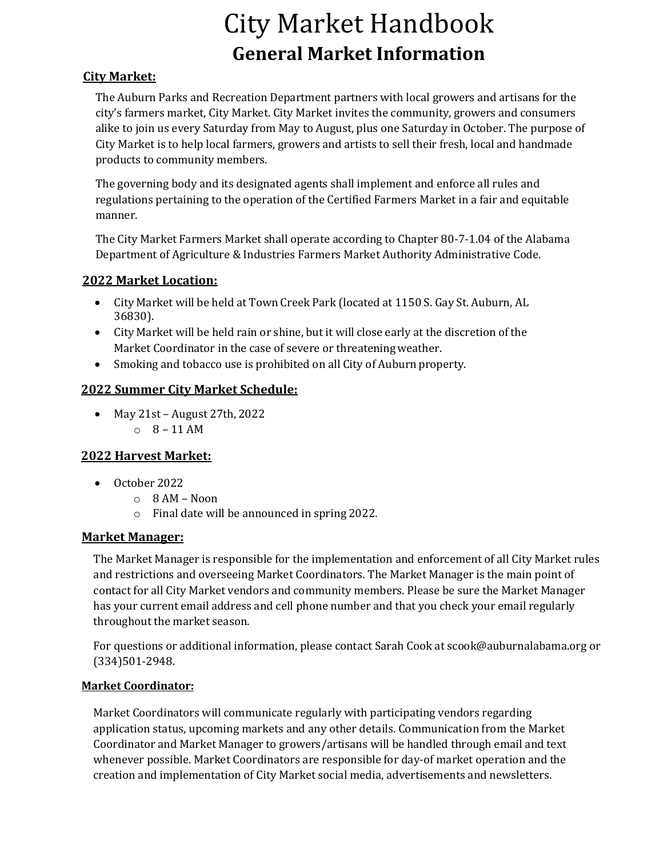# City Market Handbook **General Market Information**

## **City Market:**

The Auburn Parks and Recreation Department partners with local growers and artisans for the city's farmers market, City Market. City Market invites the community, growers and consumers alike to join us every Saturday from May to August, plus one Saturday in October. The purpose of City Market is to help local farmers, growers and artists to sell their fresh, local and handmade products to community members.

The governing body and its designated agents shall implement and enforce all rules and regulations pertaining to the operation of the Certified Farmers Market in a fair and equitable manner.

The City Market Farmers Market shall operate according to Chapter 80-7-1.04 of the Alabama Department of Agriculture & Industries Farmers Market Authority Administrative Code.

## **2022 Market Location:**

- City Market will be held at Town Creek Park (located at 1150 S. Gay St. Auburn, AL 36830).
- City Market will be held rain or shine, but it will close early at the discretion of the Market Coordinator in the case of severe or threateningweather.
- Smoking and tobacco use is prohibited on all City of Auburn property.

# **2022 Summer City Market Schedule:**

• May 21st – August 27th, 2022  $0 \quad 8 - 11$  AM

# **2022 Harvest Market:**

- October 2022
	- o 8 AM Noon
	- o Final date will be announced in spring 2022.

## **Market Manager:**

The Market Manager is responsible for the implementation and enforcement of all City Market rules and restrictions and overseeing Market Coordinators. The Market Manager is the main point of contact for all City Market vendors and community members. Please be sure the Market Manager has your current email address and cell phone number and that you check your email regularly throughout the market season.

For questions or additional information, please contact Sarah Cook at [scook@auburnalabama.org o](mailto:scook@auburnalabama.org)r (334)501-2948.

## **Market Coordinator:**

Market Coordinators will communicate regularly with participating vendors regarding application [status, upcoming markets and a](mailto:cbecton@auburnalabama.org)ny other details. Communication from the Market Coordinator and Market Manager to growers/artisans will be handled through email and text whenever possible. Market Coordinators are responsible for day-of market operation and the creation and implementation of City Market social media, advertisements and newsletters.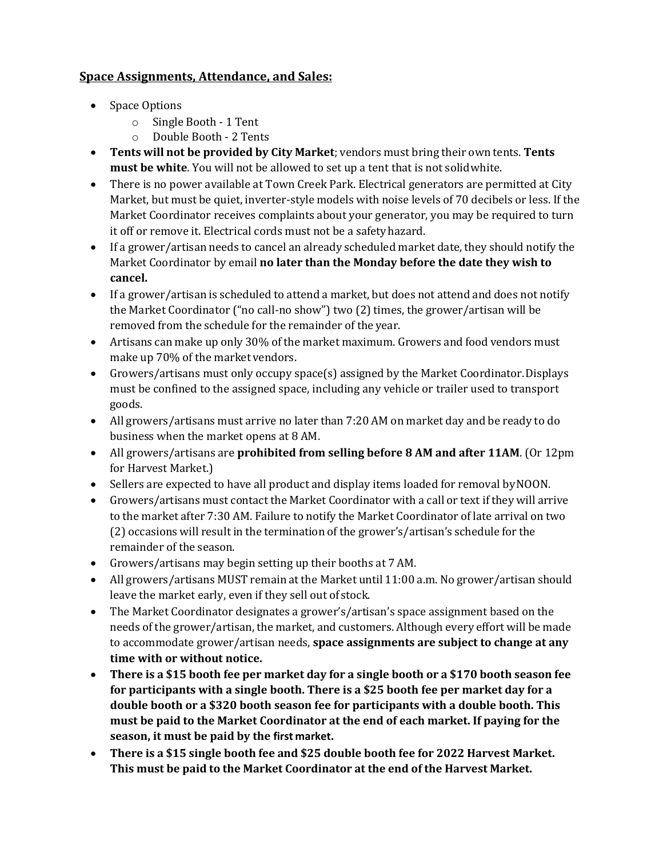## **Space Assignments, Attendance, and Sales:**

- Space Options
	- o Single Booth 1 Tent
	- o Double Booth 2 Tents
- **Tents will not be provided by City Market**; vendors must bring their own tents. **Tents must be white**. You will not be allowed to set up a tent that is not solidwhite.
- There is no power available at Town Creek Park. Electrical generators are permitted at City Market, but must be quiet, inverter-style models with noise levels of 70 decibels or less. If the Market Coordinator receives complaints about your generator, you may be required to turn it off or remove it. Electrical cords must not be a safetyhazard.
- If a grower/artisan needs to cancel an already scheduled market date, they should notify the Market Coordinator by email **no later than the Monday before the date they wish to cancel.**
- If a grower/artisan is scheduled to attend a market, but does not attend and does not notify the Market Coordinator ("no call-no show") two (2) times, the grower/artisan will be removed from the schedule for the remainder of the year.
- Artisans can make up only 30% of the market maximum. Growers and food vendors must make up 70% of the market vendors.
- Growers/artisans must only occupy space(s) assigned by the Market Coordinator.Displays must be confined to the assigned space, including any vehicle or trailer used to transport goods.
- All growers/artisans must arrive no later than 7:20 AM on market day and be ready to do business when the market opens at 8 AM.
- All growers/artisans are **prohibited from selling before 8 AM and after 11AM**. (Or 12pm for Harvest Market.)
- Sellers are expected to have all product and display items loaded for removal by NOON.
- Growers/artisans must contact the Market Coordinator with a call or text if they will arrive to the market after 7:30 AM. Failure to notify the Market Coordinator of late arrival on two (2) occasions will result in the termination of the grower's/artisan's schedule for the remainder of the season.
- Growers/artisans may begin setting up their booths at 7 AM.
- All growers/artisans MUST remain at the Market until 11:00 a.m. No grower/artisan should leave the market early, even if they sell out of stock.
- The Market Coordinator designates a grower's/artisan's space assignment based on the needs of the grower/artisan, the market, and customers. Although every effort will be made to accommodate grower/artisan needs, **space assignments are subject to change at any time with or without notice.**
- **There is a \$15 booth fee per market day for a single booth or a \$170 booth season fee for participants with a single booth. There is a \$25 booth fee per market day for a double booth or a \$320 booth season fee for participants with a double booth. This must be paid to the Market Coordinator at the end of each market. If paying for the season, it must be paid by the first market.**
- **There is a \$15 single booth fee and \$25 double booth fee for 2022 Harvest Market. This must be paid to the Market Coordinator at the end of the Harvest Market.**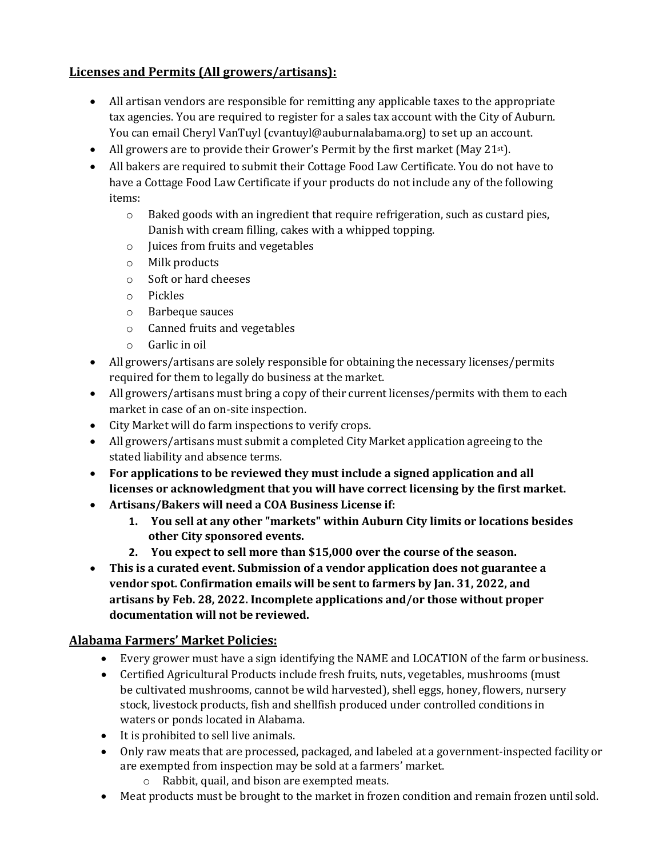# **Licenses and Permits (All growers/artisans):**

- All artisan vendors are responsible for remitting any applicable taxes to the appropriate tax agencies. You are required to register for a sales tax account with the City of Auburn. You can email Cheryl VanTuyl [\(cvantuyl@auburnalabama.org\)](mailto:cvantuyl@auburnalabama.org) to set up an account.
- All growers are to provide their Grower's Permit by the first market (May 21 $st$ ).
- All bakers are required to submit their Cottage Food Law Certificate. You do not have to have a Cottage Food Law Certificate if your products do not include any of the following items:
	- $\circ$  Baked goods with an ingredient that require refrigeration, such as custard pies, Danish with cream filling, cakes with a whipped topping.
	- o Juices from fruits and vegetables
	- o Milk products
	- o Soft or hard cheeses
	- o Pickles
	- o Barbeque sauces
	- o Canned fruits and vegetables
	- o Garlic in oil
- All growers/artisans are solely responsible for obtaining the necessary licenses/permits required for them to legally do business at the market.
- All growers/artisans must bring a copy of their current licenses/permits with them to each market in case of an on-site inspection.
- City Market will do farm inspections to verify crops.
- All growers/artisans must submit a completed City Market application agreeing to the stated liability and absence terms.
- **For applications to be reviewed they must include a signed application and all licenses or acknowledgment that you will have correct licensing by the first market.**
- **Artisans/Bakers will need a COA Business License if:**
	- **1. You sell at any other "markets" within Auburn City limits or locations besides other City sponsored events.**
	- **2. You expect to sell more than \$15,000 over the course of the season.**
- **This is a curated event. Submission of a vendor application does not guarantee a vendor spot. Confirmation emails will be sent to farmers by Jan. 31, 2022, and artisans by Feb. 28, 2022. Incomplete applications and/or those without proper documentation will not be reviewed.**

## **Alabama Farmers' Market Policies:**

- Every grower must have a sign identifying the NAME and LOCATION of the farm orbusiness.
- Certified Agricultural Products include fresh fruits, nuts, vegetables, mushrooms (must be cultivated mushrooms, cannot be wild harvested), shell eggs, honey, flowers, nursery stock, livestock products, fish and shellfish produced under controlled conditions in waters or ponds located in Alabama.
- It is prohibited to sell live animals.
- Only raw meats that are processed, packaged, and labeled at a government-inspected facilityor are exempted from inspection may be sold at a farmers' market.
	- o Rabbit, quail, and bison are exempted meats.
- Meat products must be brought to the market in frozen condition and remain frozen until sold.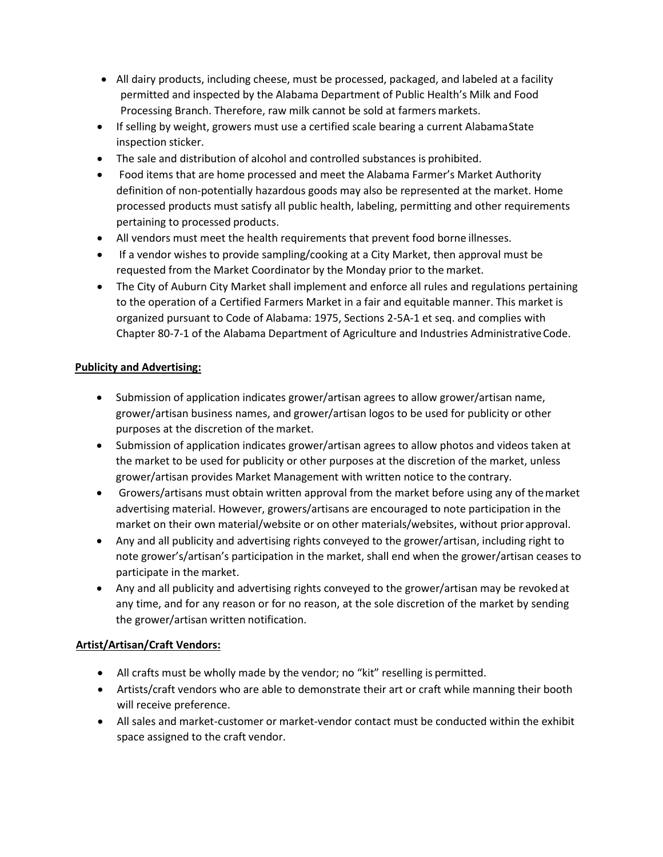- All dairy products, including cheese, must be processed, packaged, and labeled at a facility permitted and inspected by the Alabama Department of Public Health's Milk and Food Processing Branch. Therefore, raw milk cannot be sold at farmers markets.
- If selling by weight, growers must use a certified scale bearing a current AlabamaState inspection sticker.
- The sale and distribution of alcohol and controlled substances is prohibited.
- Food items that are home processed and meet the Alabama Farmer's Market Authority definition of non-potentially hazardous goods may also be represented at the market. Home processed products must satisfy all public health, labeling, permitting and other requirements pertaining to processed products.
- All vendors must meet the health requirements that prevent food borne illnesses.
- If a vendor wishes to provide sampling/cooking at a City Market, then approval must be requested from the Market Coordinator by the Monday prior to the market.
- The City of Auburn City Market shall implement and enforce all rules and regulations pertaining to the operation of a Certified Farmers Market in a fair and equitable manner. This market is organized pursuant to Code of Alabama: 1975, Sections 2-5A-1 et seq. and complies with Chapter 80-7-1 of the Alabama Department of Agriculture and Industries AdministrativeCode.

#### **Publicity and Advertising:**

- Submission of application indicates grower/artisan agrees to allow grower/artisan name, grower/artisan business names, and grower/artisan logos to be used for publicity or other purposes at the discretion of the market.
- Submission of application indicates grower/artisan agrees to allow photos and videos taken at the market to be used for publicity or other purposes at the discretion of the market, unless grower/artisan provides Market Management with written notice to the contrary.
- Growers/artisans must obtain written approval from the market before using any of themarket advertising material. However, growers/artisans are encouraged to note participation in the market on their own material/website or on other materials/websites, without prior approval.
- Any and all publicity and advertising rights conveyed to the grower/artisan, including right to note grower's/artisan's participation in the market, shall end when the grower/artisan ceases to participate in the market.
- Any and all publicity and advertising rights conveyed to the grower/artisan may be revoked at any time, and for any reason or for no reason, at the sole discretion of the market by sending the grower/artisan written notification.

## **Artist/Artisan/Craft Vendors:**

- All crafts must be wholly made by the vendor; no "kit" reselling is permitted.
- Artists/craft vendors who are able to demonstrate their art or craft while manning their booth will receive preference.
- All sales and market-customer or market-vendor contact must be conducted within the exhibit space assigned to the craft vendor.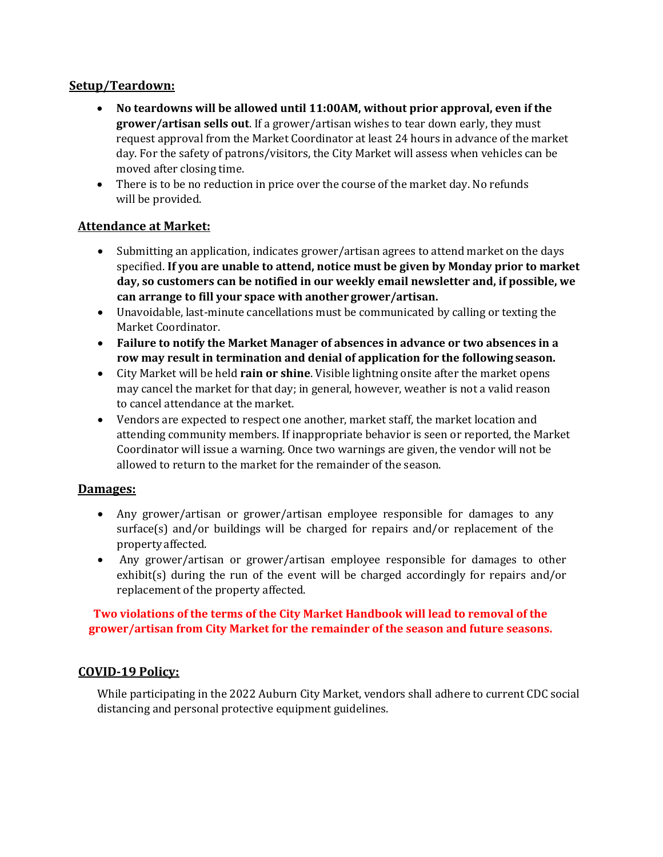## **Setup/Teardown:**

- **No teardowns will be allowed until 11:00AM, without prior approval, even if the grower/artisan sells out**. If a grower/artisan wishes to tear down early, they must request approval from the Market Coordinator at least 24 hours in advance of the market day. For the safety of patrons/visitors, the City Market will assess when vehicles can be moved after closing time.
- There is to be no reduction in price over the course of the market day. No refunds will be provided.

## **Attendance at Market:**

- Submitting an application, indicates grower/artisan agrees to attend market on the days specified. **If you are unable to attend, notice must be given by Monday prior to market day, so customers can be notified in our weekly email newsletter and, if possible, we can arrange to fill your space with another grower/artisan.**
- Unavoidable, last-minute cancellations must be communicated by calling or texting the Market Coordinator.
- **Failure to notify the Market Manager of absences in advance or two absences in a row may result in termination and denial of application for the following season.**
- City Market will be held **rain or shine**. Visible lightning onsite after the market opens may cancel the market for that day; in general, however, weather is not a valid reason to cancel attendance at the market.
- Vendors are expected to respect one another, market staff, the market location and attending community members. If inappropriate behavior is seen or reported, the Market Coordinator will issue a warning. Once two warnings are given, the vendor will not be allowed to return to the market for the remainder of the season.

#### **Damages:**

- Any grower/artisan or grower/artisan employee responsible for damages to any surface(s) and/or buildings will be charged for repairs and/or replacement of the property affected.
- Any grower/artisan or grower/artisan employee responsible for damages to other exhibit(s) during the run of the event will be charged accordingly for repairs and/or replacement of the property affected.

#### **Two violations of the terms of the City Market Handbook will lead to removal of the grower/artisan from City Market for the remainder of the season and future seasons.**

## **COVID-19 Policy:**

While participating in the 2022 Auburn City Market, vendors shall adhere to current CDC social distancing and personal protective equipment guidelines.